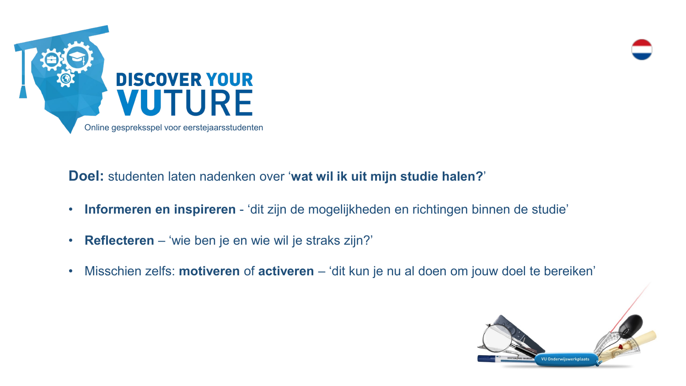



#### **Doel:** studenten laten nadenken over '**wat wil ik uit mijn studie halen?**'

- **Informeren en inspireren** 'dit zijn de mogelijkheden en richtingen binnen de studie'
- **Reflecteren** 'wie ben je en wie wil je straks zijn?'
- Misschien zelfs: **motiveren** of **activeren** 'dit kun je nu al doen om jouw doel te bereiken'

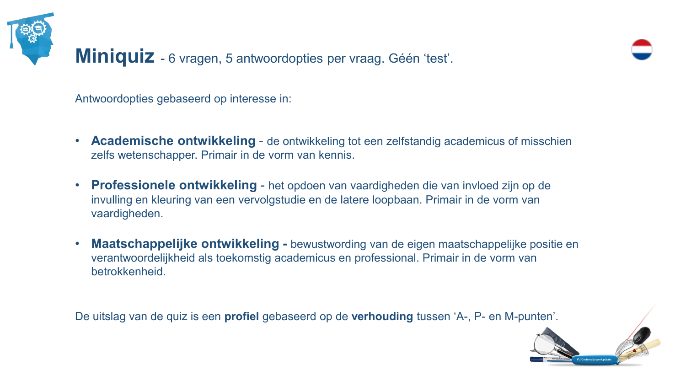



Antwoordopties gebaseerd op interesse in:

- **Academische ontwikkeling** de ontwikkeling tot een zelfstandig academicus of misschien zelfs wetenschapper. Primair in de vorm van kennis.
- **Professionele ontwikkeling**  het opdoen van vaardigheden die van invloed zijn op de invulling en kleuring van een vervolgstudie en de latere loopbaan. Primair in de vorm van vaardigheden.
- **Maatschappelijke ontwikkeling -** bewustwording van de eigen maatschappelijke positie en verantwoordelijkheid als toekomstig academicus en professional. Primair in de vorm van betrokkenheid.

De uitslag van de quiz is een **profiel** gebaseerd op de **verhouding** tussen 'A-, P- en M-punten'.

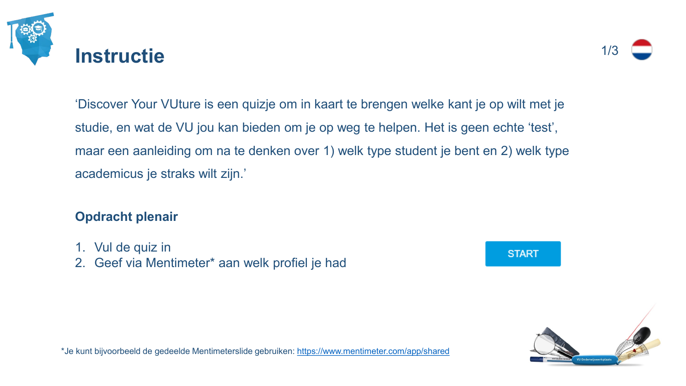



'Discover Your VUture is een quizje om in kaart te brengen welke kant je op wilt met je studie, en wat de VU jou kan bieden om je op weg te helpen. Het is geen echte 'test', maar een aanleiding om na te denken over 1) welk type student je bent en 2) welk type academicus je straks wilt zijn.'

### **Opdracht plenair**

- 1. Vul de quiz in
- 2. Geef via Mentimeter\* aan welk profiel je had





\*Je kunt bijvoorbeeld de gedeelde Mentimeterslide gebruiken:<https://www.mentimeter.com/app/shared>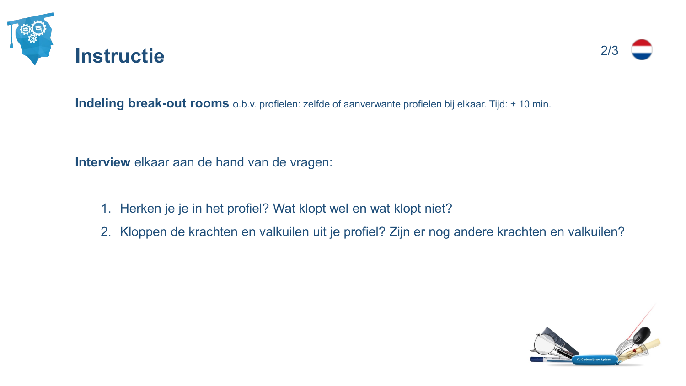



**Indeling break-out rooms** o.b.v. profielen: zelfde of aanverwante profielen bij elkaar. Tijd: ± 10 min.

**Interview** elkaar aan de hand van de vragen:

- 1. Herken je je in het profiel? Wat klopt wel en wat klopt niet?
- 2. Kloppen de krachten en valkuilen uit je profiel? Zijn er nog andere krachten en valkuilen?

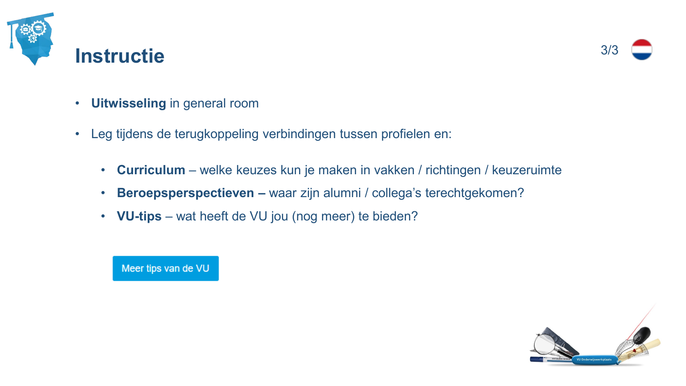



- **Uitwisseling** in general room
- Leg tijdens de terugkoppeling verbindingen tussen profielen en:
	- **Curriculum** welke keuzes kun je maken in vakken / richtingen / keuzeruimte
	- **Beroepsperspectieven –** waar zijn alumni / collega's terechtgekomen?
	- **VU-tips** wat heeft de VU jou (nog meer) te bieden?



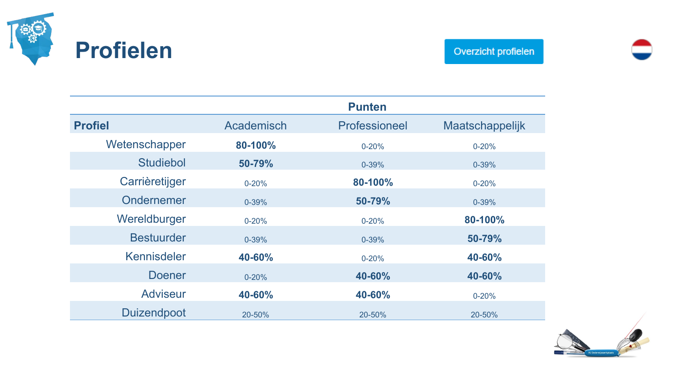



|                    |            | <b>Punten</b> |                 |
|--------------------|------------|---------------|-----------------|
| <b>Profiel</b>     | Academisch | Professioneel | Maatschappelijk |
| Wetenschapper      | 80-100%    | $0 - 20%$     | $0 - 20%$       |
| <b>Studiebol</b>   | 50-79%     | 0-39%         | $0 - 39%$       |
| Carrièretijger     | $0 - 20%$  | 80-100%       | $0 - 20%$       |
| Ondernemer         | 0-39%      | 50-79%        | $0 - 39%$       |
| Wereldburger       | $0 - 20%$  | $0 - 20%$     | 80-100%         |
| <b>Bestuurder</b>  | 0-39%      | 0-39%         | 50-79%          |
| Kennisdeler        | 40-60%     | $0 - 20%$     | 40-60%          |
| <b>Doener</b>      | $0 - 20%$  | 40-60%        | 40-60%          |
| <b>Adviseur</b>    | 40-60%     | 40-60%        | $0 - 20%$       |
| <b>Duizendpoot</b> | 20-50%     | 20-50%        | 20-50%          |

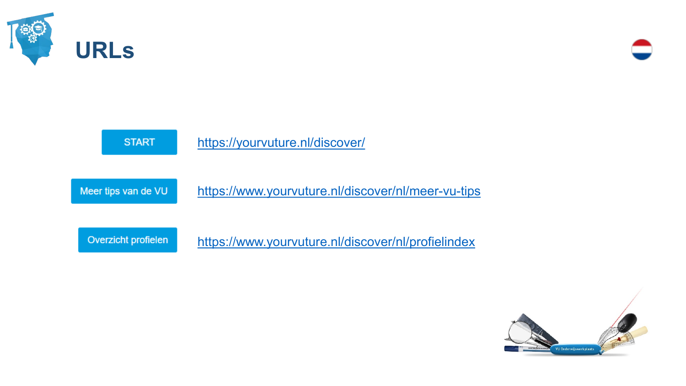





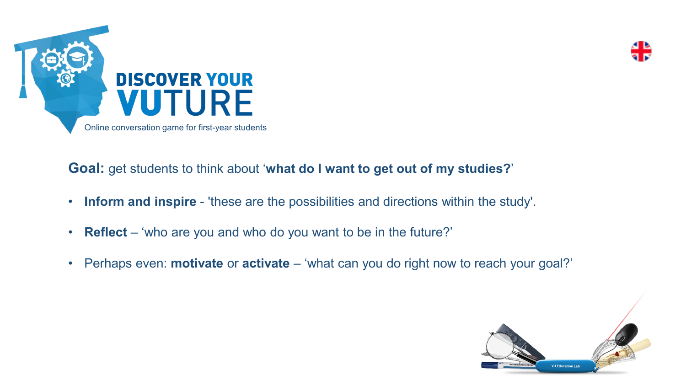



## **Goal:** get students to think about '**what do I want to get out of my studies?**'

- **Inform and inspire** 'these are the possibilities and directions within the study'.
- **Reflect** 'who are you and who do you want to be in the future?'
- Perhaps even: **motivate** or **activate** 'what can you do right now to reach your goal?'

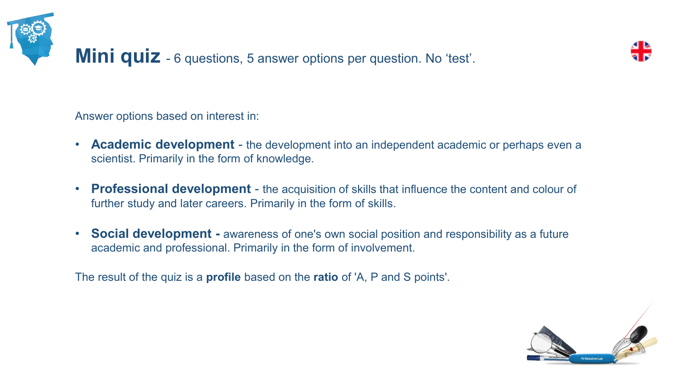



Answer options based on interest in:

- **Academic development** the development into an independent academic or perhaps even a scientist. Primarily in the form of knowledge.
- **Professional development**  the acquisition of skills that influence the content and colour of further study and later careers. Primarily in the form of skills.
- **Social development -** awareness of one's own social position and responsibility as a future academic and professional. Primarily in the form of involvement.

The result of the quiz is a **profile** based on the **ratio** of 'A, P and S points'.

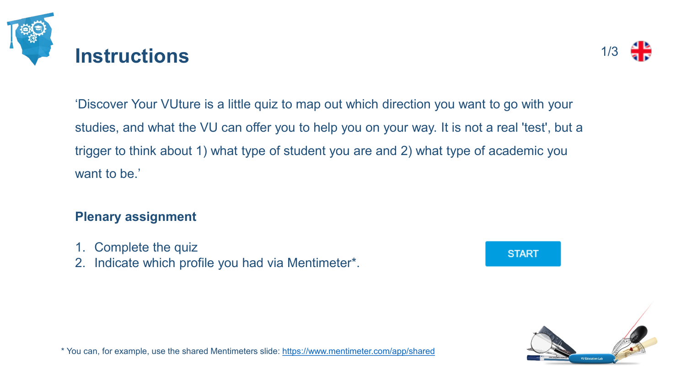



'Discover Your VUture is a little quiz to map out which direction you want to go with your studies, and what the VU can offer you to help you on your way. It is not a real 'test', but a trigger to think about 1) what type of student you are and 2) what type of academic you want to be.'

### **Plenary assignment**

- 1. Complete the quiz
- 2. Indicate which profile you had via Mentimeter\*.





\* You can, for example, use the shared Mentimeters slide:<https://www.mentimeter.com/app/shared>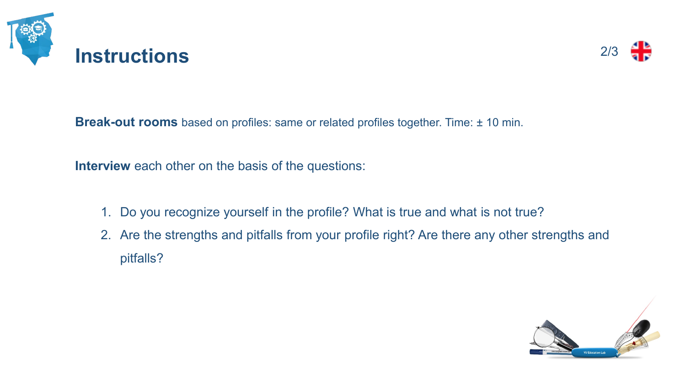



**Break-out rooms** based on profiles: same or related profiles together. Time: ± 10 min.

**Interview** each other on the basis of the questions:

- 1. Do you recognize yourself in the profile? What is true and what is not true?
- 2. Are the strengths and pitfalls from your profile right? Are there any other strengths and pitfalls?

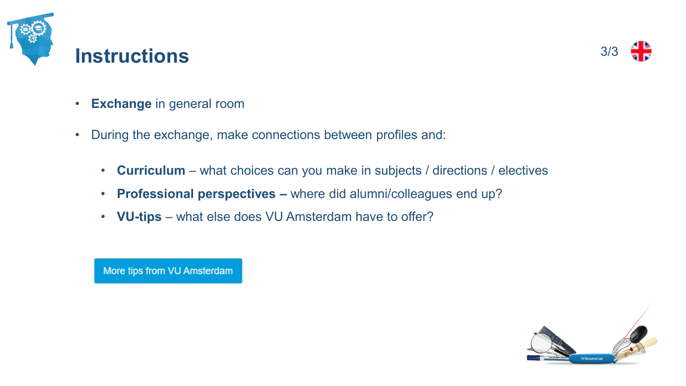



- **Exchange** in general room
- During the exchange, make connections between profiles and:
	- **Curriculum** what choices can you make in subjects / directions / electives
	- **Professional perspectives –** where did alumni/colleagues end up?
	- **VU-tips** what else does VU Amsterdam have to offer?

More tips from VU Amsterdam

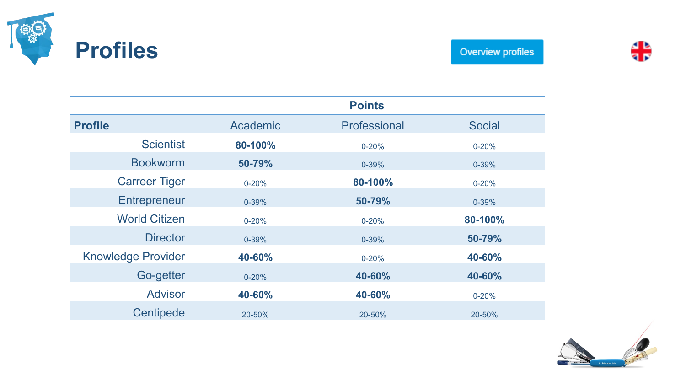



|                           |           | <b>Points</b> |               |
|---------------------------|-----------|---------------|---------------|
| <b>Profile</b>            | Academic  | Professional  | <b>Social</b> |
| <b>Scientist</b>          | 80-100%   | $0 - 20%$     | $0 - 20%$     |
| <b>Bookworm</b>           | 50-79%    | 0-39%         | 0-39%         |
| <b>Carreer Tiger</b>      | $0 - 20%$ | 80-100%       | $0 - 20%$     |
| <b>Entrepreneur</b>       | 0-39%     | 50-79%        | 0-39%         |
| <b>World Citizen</b>      | $0 - 20%$ | $0 - 20%$     | 80-100%       |
| <b>Director</b>           | $0 - 39%$ | 0-39%         | 50-79%        |
| <b>Knowledge Provider</b> | 40-60%    | $0 - 20%$     | 40-60%        |
| Go-getter                 | $0 - 20%$ | 40-60%        | 40-60%        |
| <b>Advisor</b>            | 40-60%    | 40-60%        | $0 - 20%$     |
| Centipede                 | 20-50%    | 20-50%        | 20-50%        |